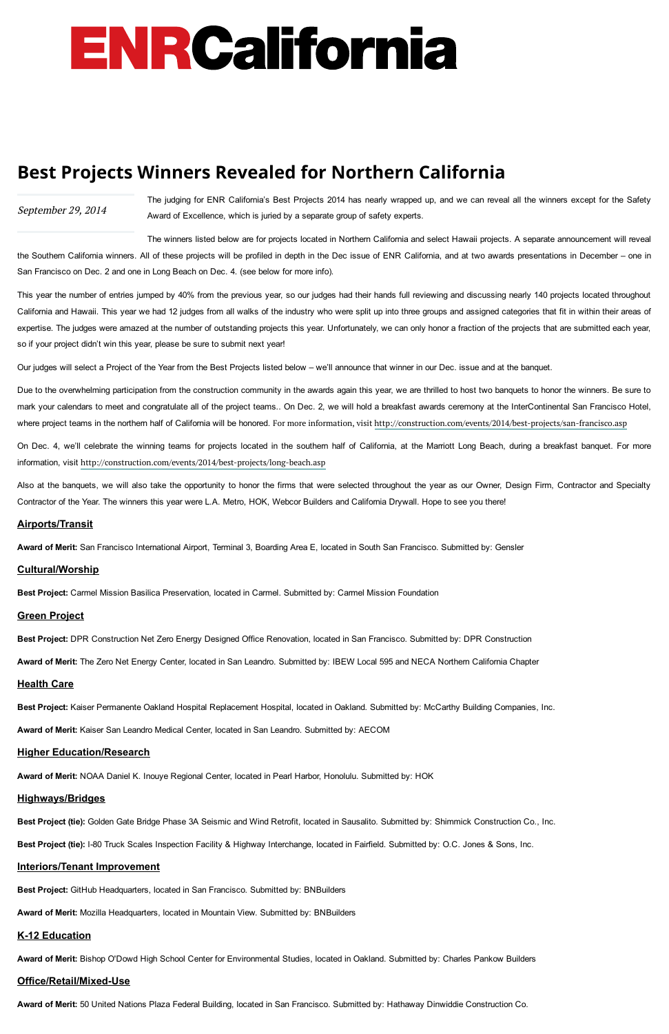## September 29, 2014

# ENRCalifornia

# Best Projects Winners Revealed for Northern California

The judging for ENR California's Best Projects 2014 has nearly wrapped up, and we can reveal all the winners except for the Safety Award of Excellence, which is juried by a separate group of safety experts.

The winners listed below are for projects located in Northern California and select Hawaii projects. A separate announcement will reveal the Southern California winners. All of these projects will be profiled in depth in the Dec issue of ENR California, and at two awards presentations in December – one in San Francisco on Dec. 2 and one in Long Beach on Dec. 4. (see below for more info).

This year the number of entries jumped by 40% from the previous year, so our judges had their hands full reviewing and discussing nearly 140 projects located throughout California and Hawaii. This year we had 12 judges from all walks of the industry who were split up into three groups and assigned categories that fit in within their areas of expertise. The judges were amazed at the number of outstanding projects this year. Unfortunately, we can only honor a fraction of the projects that are submitted each year, so if your project didn't win this year, please be sure to submit next year!

Our judges will select a Project of the Year from the Best Projects listed below – we'll announce that winner in our Dec. issue and at the banquet.

Due to the overwhelming participation from the construction community in the awards again this year, we are thrilled to host two banquets to honor the winners. Be sure to mark your calendars to meet and congratulate all of the project teams.. On Dec. 2, we will hold a breakfast awards ceremony at the InterContinental San Francisco Hotel, where project teams in the northern half of California will be honored. For more information, visit <http://construction.com/events/2014/best-projects/san-francisco.asp>

On Dec. 4, we'll celebrate the winning teams for projects located in the southern half of California, at the Marriott Long Beach, during a breakfast banquet. For more information, visit <http://construction.com/events/2014/best-projects/long-beach.asp>

Also at the banquets, we will also take the opportunity to honor the firms that were selected throughout the year as our Owner, Design Firm, Contractor and Specialty Contractor of the Year. The winners this year were L.A. Metro, HOK, Webcor Builders and California Drywall. Hope to see you there!

#### Airports/Transit

Award of Merit: San Francisco International Airport, Terminal 3, Boarding Area E, located in South San Francisco. Submitted by: Gensler

#### Cultural/Worship

Best Project: Carmel Mission Basilica Preservation, located in Carmel. Submitted by: Carmel Mission Foundation

# Green Project

Best Project: DPR Construction Net Zero Energy Designed Office Renovation, located in San Francisco. Submitted by: DPR Construction

Award of Merit: The Zero Net Energy Center, located in San Leandro. Submitted by: IBEW Local 595 and NECA Northern California Chapter

# **Health Care**

Best Project: Kaiser Permanente Oakland Hospital Replacement Hospital, located in Oakland. Submitted by: McCarthy Building Companies, Inc.

Award of Merit: Kaiser San Leandro Medical Center, located in San Leandro. Submitted by: AECOM

# Higher Education/Research

#### Award of Merit: NOAA Daniel K. Inouye Regional Center, located in Pearl Harbor, Honolulu. Submitted by: HOK

#### Highways/Bridges

Best Project (tie): Golden Gate Bridge Phase 3A Seismic and Wind Retrofit, located in Sausalito. Submitted by: Shimmick Construction Co., Inc.

Best Project (tie): I-80 Truck Scales Inspection Facility & Highway Interchange, located in Fairfield. Submitted by: O.C. Jones & Sons, Inc.

#### Interiors/Tenant Improvement

Best Project: GitHub Headquarters, located in San Francisco. Submitted by: BNBuilders

Award of Merit: Mozilla Headquarters, located in Mountain View. Submitted by: BNBuilders

# **K-12 Education**

Award of Merit: Bishop O'Dowd High School Center for Environmental Studies, located in Oakland. Submitted by: Charles Pankow Builders

#### Office/Retail/Mixed-Use

Award of Merit: 50 United Nations Plaza Federal Building, located in San Francisco. Submitted by: Hathaway Dinwiddie Construction Co.